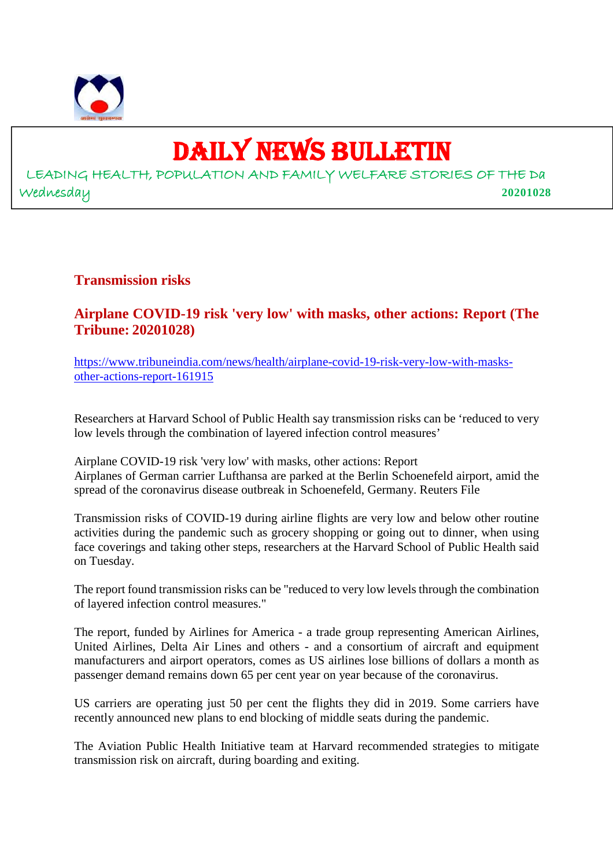

## DAILY NEWS BULLETIN

LEADING HEALTH, POPULATION AND FAMILY WELFARE STORIES OF THE Da Wednesday **20201028**

#### **Transmission risks**

#### **Airplane COVID-19 risk 'very low' with masks, other actions: Report (The Tribune: 20201028)**

https://www.tribuneindia.com/news/health/airplane-covid-19-risk-very-low-with-masksother-actions-report-161915

Researchers at Harvard School of Public Health say transmission risks can be 'reduced to very low levels through the combination of layered infection control measures'

Airplane COVID-19 risk 'very low' with masks, other actions: Report Airplanes of German carrier Lufthansa are parked at the Berlin Schoenefeld airport, amid the spread of the coronavirus disease outbreak in Schoenefeld, Germany. Reuters File

Transmission risks of COVID-19 during airline flights are very low and below other routine activities during the pandemic such as grocery shopping or going out to dinner, when using face coverings and taking other steps, researchers at the Harvard School of Public Health said on Tuesday.

The report found transmission risks can be "reduced to very low levels through the combination of layered infection control measures."

The report, funded by Airlines for America - a trade group representing American Airlines, United Airlines, Delta Air Lines and others - and a consortium of aircraft and equipment manufacturers and airport operators, comes as US airlines lose billions of dollars a month as passenger demand remains down 65 per cent year on year because of the coronavirus.

US carriers are operating just 50 per cent the flights they did in 2019. Some carriers have recently announced new plans to end blocking of middle seats during the pandemic.

The Aviation Public Health Initiative team at Harvard recommended strategies to mitigate transmission risk on aircraft, during boarding and exiting.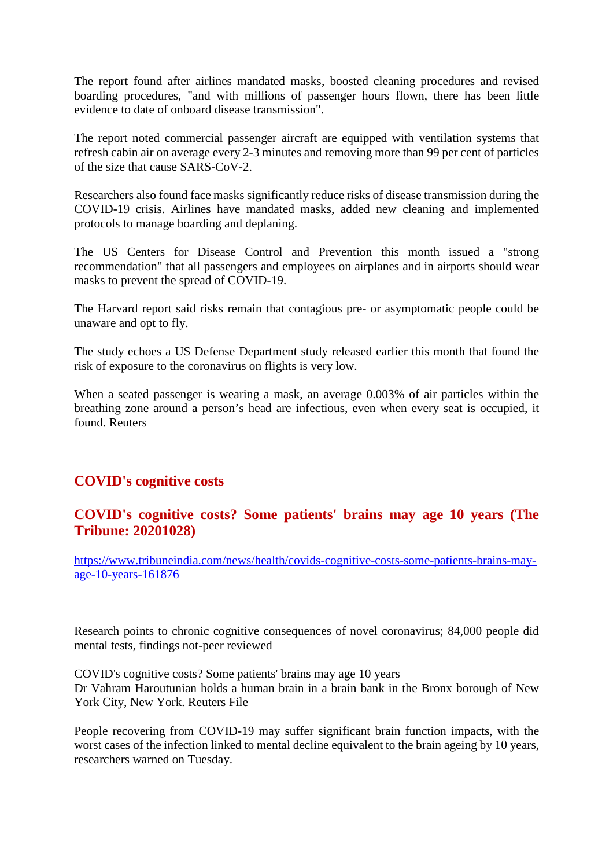The report found after airlines mandated masks, boosted cleaning procedures and revised boarding procedures, "and with millions of passenger hours flown, there has been little evidence to date of onboard disease transmission".

The report noted commercial passenger aircraft are equipped with ventilation systems that refresh cabin air on average every 2-3 minutes and removing more than 99 per cent of particles of the size that cause SARS-CoV-2.

Researchers also found face masks significantly reduce risks of disease transmission during the COVID-19 crisis. Airlines have mandated masks, added new cleaning and implemented protocols to manage boarding and deplaning.

The US Centers for Disease Control and Prevention this month issued a "strong recommendation" that all passengers and employees on airplanes and in airports should wear masks to prevent the spread of COVID-19.

The Harvard report said risks remain that contagious pre- or asymptomatic people could be unaware and opt to fly.

The study echoes a US Defense Department study released earlier this month that found the risk of exposure to the coronavirus on flights is very low.

When a seated passenger is wearing a mask, an average 0.003% of air particles within the breathing zone around a person's head are infectious, even when every seat is occupied, it found. Reuters

#### **COVID's cognitive costs**

#### **COVID's cognitive costs? Some patients' brains may age 10 years (The Tribune: 20201028)**

https://www.tribuneindia.com/news/health/covids-cognitive-costs-some-patients-brains-mayage-10-years-161876

Research points to chronic cognitive consequences of novel coronavirus; 84,000 people did mental tests, findings not-peer reviewed

COVID's cognitive costs? Some patients' brains may age 10 years Dr Vahram Haroutunian holds a human brain in a brain bank in the Bronx borough of New York City, New York. Reuters File

People recovering from COVID-19 may suffer significant brain function impacts, with the worst cases of the infection linked to mental decline equivalent to the brain ageing by 10 years, researchers warned on Tuesday.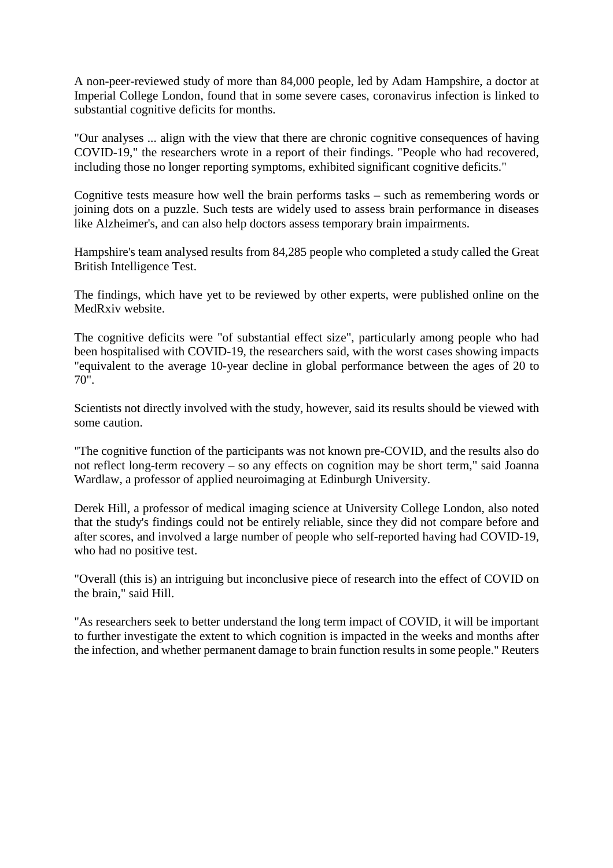A non-peer-reviewed study of more than 84,000 people, led by Adam Hampshire, a doctor at Imperial College London, found that in some severe cases, coronavirus infection is linked to substantial cognitive deficits for months.

"Our analyses ... align with the view that there are chronic cognitive consequences of having COVID-19," the researchers wrote in a report of their findings. "People who had recovered, including those no longer reporting symptoms, exhibited significant cognitive deficits."

Cognitive tests measure how well the brain performs tasks – such as remembering words or joining dots on a puzzle. Such tests are widely used to assess brain performance in diseases like Alzheimer's, and can also help doctors assess temporary brain impairments.

Hampshire's team analysed results from 84,285 people who completed a study called the Great British Intelligence Test.

The findings, which have yet to be reviewed by other experts, were published online on the MedRxiv website.

The cognitive deficits were "of substantial effect size", particularly among people who had been hospitalised with COVID-19, the researchers said, with the worst cases showing impacts "equivalent to the average 10-year decline in global performance between the ages of 20 to 70".

Scientists not directly involved with the study, however, said its results should be viewed with some caution.

"The cognitive function of the participants was not known pre-COVID, and the results also do not reflect long-term recovery – so any effects on cognition may be short term," said Joanna Wardlaw, a professor of applied neuroimaging at Edinburgh University.

Derek Hill, a professor of medical imaging science at University College London, also noted that the study's findings could not be entirely reliable, since they did not compare before and after scores, and involved a large number of people who self-reported having had COVID-19, who had no positive test.

"Overall (this is) an intriguing but inconclusive piece of research into the effect of COVID on the brain," said Hill.

"As researchers seek to better understand the long term impact of COVID, it will be important to further investigate the extent to which cognition is impacted in the weeks and months after the infection, and whether permanent damage to brain function results in some people." Reuters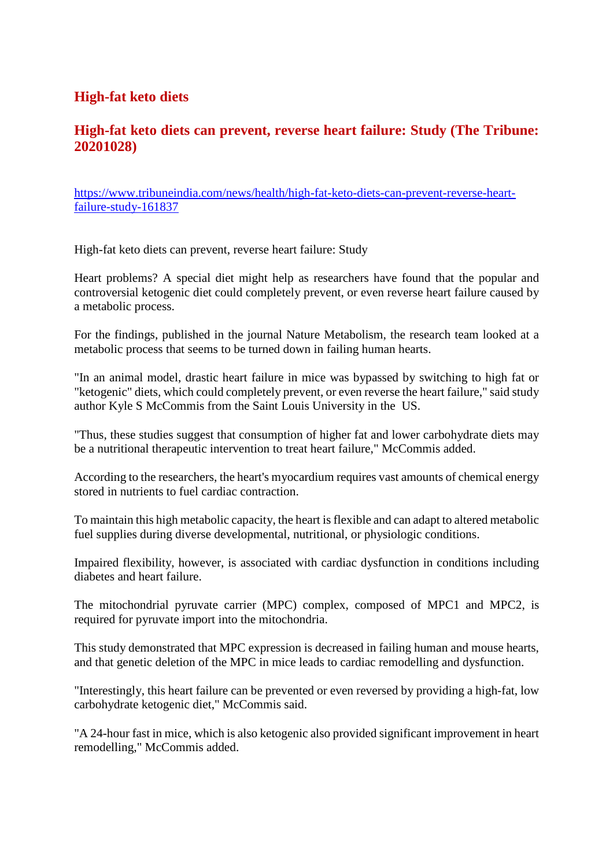#### **High-fat keto diets**

#### **High-fat keto diets can prevent, reverse heart failure: Study (The Tribune: 20201028)**

https://www.tribuneindia.com/news/health/high-fat-keto-diets-can-prevent-reverse-heartfailure-study-161837

High-fat keto diets can prevent, reverse heart failure: Study

Heart problems? A special diet might help as researchers have found that the popular and controversial ketogenic diet could completely prevent, or even reverse heart failure caused by a metabolic process.

For the findings, published in the journal Nature Metabolism, the research team looked at a metabolic process that seems to be turned down in failing human hearts.

"In an animal model, drastic heart failure in mice was bypassed by switching to high fat or "ketogenic" diets, which could completely prevent, or even reverse the heart failure," said study author Kyle S McCommis from the Saint Louis University in the US.

"Thus, these studies suggest that consumption of higher fat and lower carbohydrate diets may be a nutritional therapeutic intervention to treat heart failure," McCommis added.

According to the researchers, the heart's myocardium requires vast amounts of chemical energy stored in nutrients to fuel cardiac contraction.

To maintain this high metabolic capacity, the heart is flexible and can adapt to altered metabolic fuel supplies during diverse developmental, nutritional, or physiologic conditions.

Impaired flexibility, however, is associated with cardiac dysfunction in conditions including diabetes and heart failure.

The mitochondrial pyruvate carrier (MPC) complex, composed of MPC1 and MPC2, is required for pyruvate import into the mitochondria.

This study demonstrated that MPC expression is decreased in failing human and mouse hearts, and that genetic deletion of the MPC in mice leads to cardiac remodelling and dysfunction.

"Interestingly, this heart failure can be prevented or even reversed by providing a high-fat, low carbohydrate ketogenic diet," McCommis said.

"A 24-hour fast in mice, which is also ketogenic also provided significant improvement in heart remodelling," McCommis added.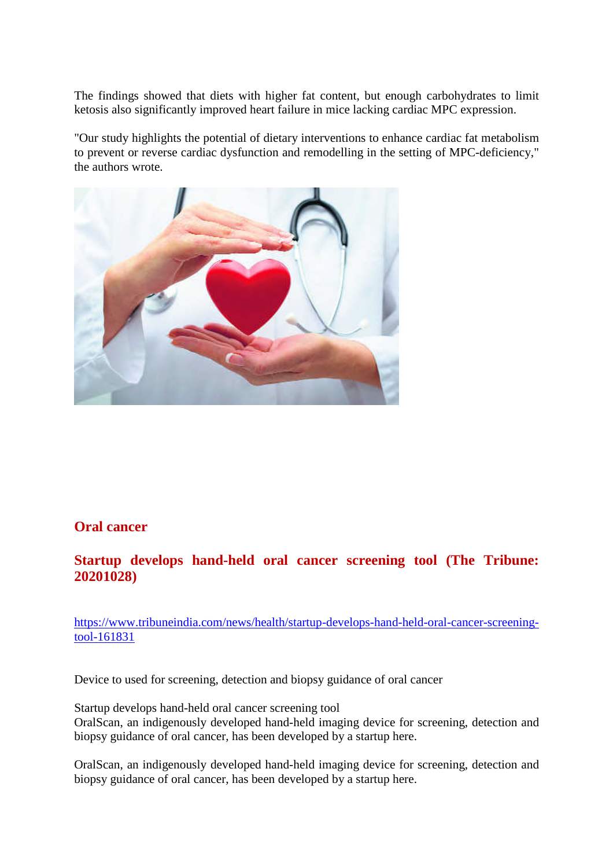The findings showed that diets with higher fat content, but enough carbohydrates to limit ketosis also significantly improved heart failure in mice lacking cardiac MPC expression.

"Our study highlights the potential of dietary interventions to enhance cardiac fat metabolism to prevent or reverse cardiac dysfunction and remodelling in the setting of MPC-deficiency," the authors wrote.



#### **Oral cancer**

#### **Startup develops hand-held oral cancer screening tool (The Tribune: 20201028)**

https://www.tribuneindia.com/news/health/startup-develops-hand-held-oral-cancer-screeningtool-161831

Device to used for screening, detection and biopsy guidance of oral cancer

Startup develops hand-held oral cancer screening tool OralScan, an indigenously developed hand-held imaging device for screening, detection and biopsy guidance of oral cancer, has been developed by a startup here.

OralScan, an indigenously developed hand-held imaging device for screening, detection and biopsy guidance of oral cancer, has been developed by a startup here.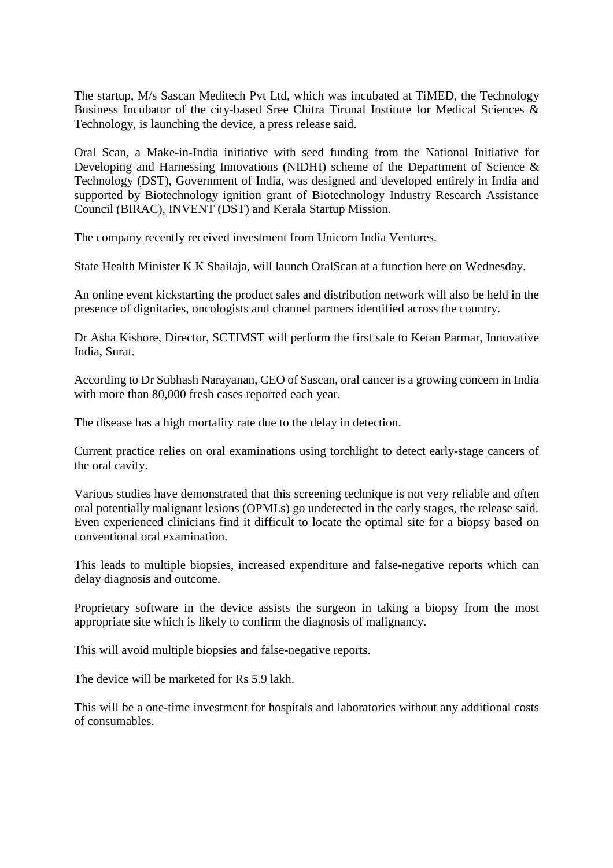The startup, M/s Sascan Meditech Pvt Ltd, which was incubated at TiMED, the Technology Business Incubator of the city-based Sree Chitra Tirunal Institute for Medical Sciences & Technology, is launching the device, a press release said.

Oral Scan, a Make-in-India initiative with seed funding from the National Initiative for Developing and Harnessing Innovations (NIDHI) scheme of the Department of Science & Technology (DST), Government of India, was designed and developed entirely in India and supported by Biotechnology ignition grant of Biotechnology Industry Research Assistance Council (BIRAC), INVENT (DST) and Kerala Startup Mission.

The company recently received investment from Unicorn India Ventures.

State Health Minister K K Shailaja, will launch OralScan at a function here on Wednesday.

An online event kickstarting the product sales and distribution network will also be held in the presence of dignitaries, oncologists and channel partners identified across the country.

Dr Asha Kishore, Director, SCTIMST will perform the first sale to Ketan Parmar, Innovative India, Surat.

According to Dr Subhash Narayanan, CEO of Sascan, oral cancer is a growing concern in India with more than 80,000 fresh cases reported each year.

The disease has a high mortality rate due to the delay in detection.

Current practice relies on oral examinations using torchlight to detect early-stage cancers of the oral cavity.

Various studies have demonstrated that this screening technique is not very reliable and often oral potentially malignant lesions (OPMLs) go undetected in the early stages, the release said. Even experienced clinicians find it difficult to locate the optimal site for a biopsy based on conventional oral examination.

This leads to multiple biopsies, increased expenditure and false-negative reports which can delay diagnosis and outcome.

Proprietary software in the device assists the surgeon in taking a biopsy from the most appropriate site which is likely to confirm the diagnosis of malignancy.

This will avoid multiple biopsies and false-negative reports.

The device will be marketed for Rs 5.9 lakh.

This will be a one-time investment for hospitals and laboratories without any additional costs of consumables.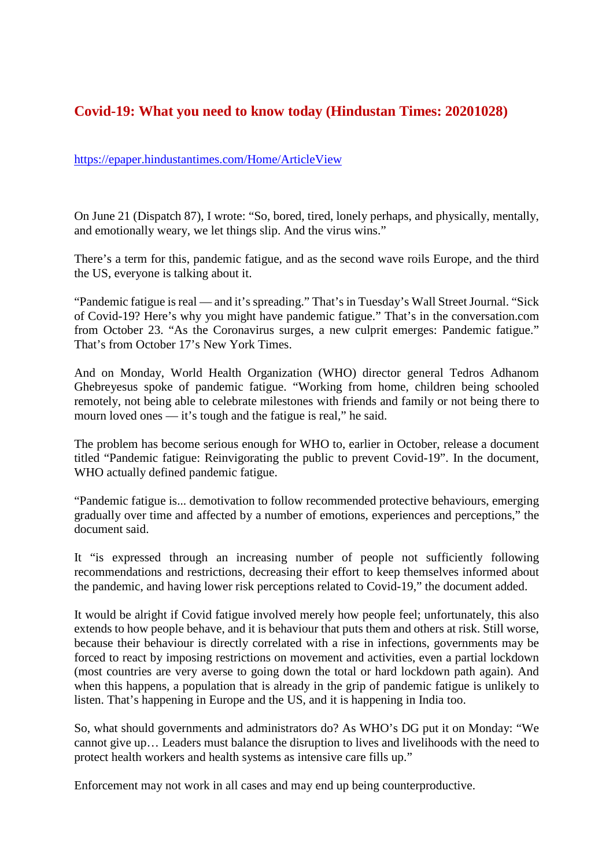#### **Covid-19: What you need to know today (Hindustan Times: 20201028)**

#### https://epaper.hindustantimes.com/Home/ArticleView

On June 21 (Dispatch 87), I wrote: "So, bored, tired, lonely perhaps, and physically, mentally, and emotionally weary, we let things slip. And the virus wins."

There's a term for this, pandemic fatigue, and as the second wave roils Europe, and the third the US, everyone is talking about it.

"Pandemic fatigue is real — and it's spreading." That's in Tuesday's Wall Street Journal. "Sick of Covid-19? Here's why you might have pandemic fatigue." That's in the conversation.com from October 23. "As the Coronavirus surges, a new culprit emerges: Pandemic fatigue." That's from October 17's New York Times.

And on Monday, World Health Organization (WHO) director general Tedros Adhanom Ghebreyesus spoke of pandemic fatigue. "Working from home, children being schooled remotely, not being able to celebrate milestones with friends and family or not being there to mourn loved ones — it's tough and the fatigue is real," he said.

The problem has become serious enough for WHO to, earlier in October, release a document titled "Pandemic fatigue: Reinvigorating the public to prevent Covid-19". In the document, WHO actually defined pandemic fatigue.

"Pandemic fatigue is... demotivation to follow recommended protective behaviours, emerging gradually over time and affected by a number of emotions, experiences and perceptions," the document said.

It "is expressed through an increasing number of people not sufficiently following recommendations and restrictions, decreasing their effort to keep themselves informed about the pandemic, and having lower risk perceptions related to Covid-19," the document added.

It would be alright if Covid fatigue involved merely how people feel; unfortunately, this also extends to how people behave, and it is behaviour that puts them and others at risk. Still worse, because their behaviour is directly correlated with a rise in infections, governments may be forced to react by imposing restrictions on movement and activities, even a partial lockdown (most countries are very averse to going down the total or hard lockdown path again). And when this happens, a population that is already in the grip of pandemic fatigue is unlikely to listen. That's happening in Europe and the US, and it is happening in India too.

So, what should governments and administrators do? As WHO's DG put it on Monday: "We cannot give up… Leaders must balance the disruption to lives and livelihoods with the need to protect health workers and health systems as intensive care fills up."

Enforcement may not work in all cases and may end up being counterproductive.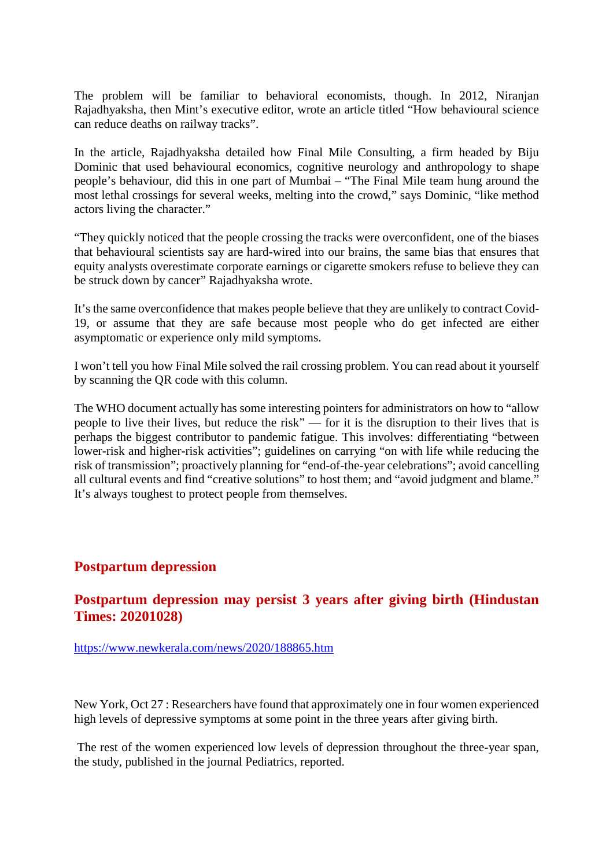The problem will be familiar to behavioral economists, though. In 2012, Niranjan Rajadhyaksha, then Mint's executive editor, wrote an article titled "How behavioural science can reduce deaths on railway tracks".

In the article, Rajadhyaksha detailed how Final Mile Consulting, a firm headed by Biju Dominic that used behavioural economics, cognitive neurology and anthropology to shape people's behaviour, did this in one part of Mumbai – "The Final Mile team hung around the most lethal crossings for several weeks, melting into the crowd," says Dominic, "like method actors living the character."

"They quickly noticed that the people crossing the tracks were overconfident, one of the biases that behavioural scientists say are hard-wired into our brains, the same bias that ensures that equity analysts overestimate corporate earnings or cigarette smokers refuse to believe they can be struck down by cancer" Rajadhyaksha wrote.

It's the same overconfidence that makes people believe that they are unlikely to contract Covid-19, or assume that they are safe because most people who do get infected are either asymptomatic or experience only mild symptoms.

I won't tell you how Final Mile solved the rail crossing problem. You can read about it yourself by scanning the QR code with this column.

The WHO document actually has some interesting pointers for administrators on how to "allow people to live their lives, but reduce the risk" — for it is the disruption to their lives that is perhaps the biggest contributor to pandemic fatigue. This involves: differentiating "between lower-risk and higher-risk activities"; guidelines on carrying "on with life while reducing the risk of transmission"; proactively planning for "end-of-the-year celebrations"; avoid cancelling all cultural events and find "creative solutions" to host them; and "avoid judgment and blame." It's always toughest to protect people from themselves.

#### **Postpartum depression**

#### **Postpartum depression may persist 3 years after giving birth (Hindustan Times: 20201028)**

https://www.newkerala.com/news/2020/188865.htm

New York, Oct 27 : Researchers have found that approximately one in four women experienced high levels of depressive symptoms at some point in the three years after giving birth.

The rest of the women experienced low levels of depression throughout the three-year span, the study, published in the journal Pediatrics, reported.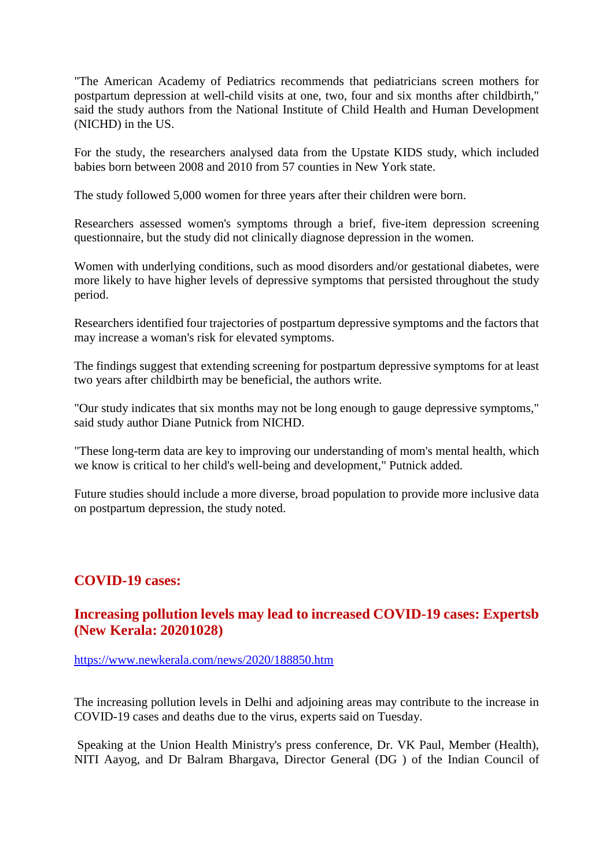"The American Academy of Pediatrics recommends that pediatricians screen mothers for postpartum depression at well-child visits at one, two, four and six months after childbirth," said the study authors from the National Institute of Child Health and Human Development (NICHD) in the US.

For the study, the researchers analysed data from the Upstate KIDS study, which included babies born between 2008 and 2010 from 57 counties in New York state.

The study followed 5,000 women for three years after their children were born.

Researchers assessed women's symptoms through a brief, five-item depression screening questionnaire, but the study did not clinically diagnose depression in the women.

Women with underlying conditions, such as mood disorders and/or gestational diabetes, were more likely to have higher levels of depressive symptoms that persisted throughout the study period.

Researchers identified four trajectories of postpartum depressive symptoms and the factors that may increase a woman's risk for elevated symptoms.

The findings suggest that extending screening for postpartum depressive symptoms for at least two years after childbirth may be beneficial, the authors write.

"Our study indicates that six months may not be long enough to gauge depressive symptoms," said study author Diane Putnick from NICHD.

"These long-term data are key to improving our understanding of mom's mental health, which we know is critical to her child's well-being and development," Putnick added.

Future studies should include a more diverse, broad population to provide more inclusive data on postpartum depression, the study noted.

#### **COVID-19 cases:**

#### **Increasing pollution levels may lead to increased COVID-19 cases: Expertsb (New Kerala: 20201028)**

https://www.newkerala.com/news/2020/188850.htm

The increasing pollution levels in Delhi and adjoining areas may contribute to the increase in COVID-19 cases and deaths due to the virus, experts said on Tuesday.

Speaking at the Union Health Ministry's press conference, Dr. VK Paul, Member (Health), NITI Aayog, and Dr Balram Bhargava, Director General (DG ) of the Indian Council of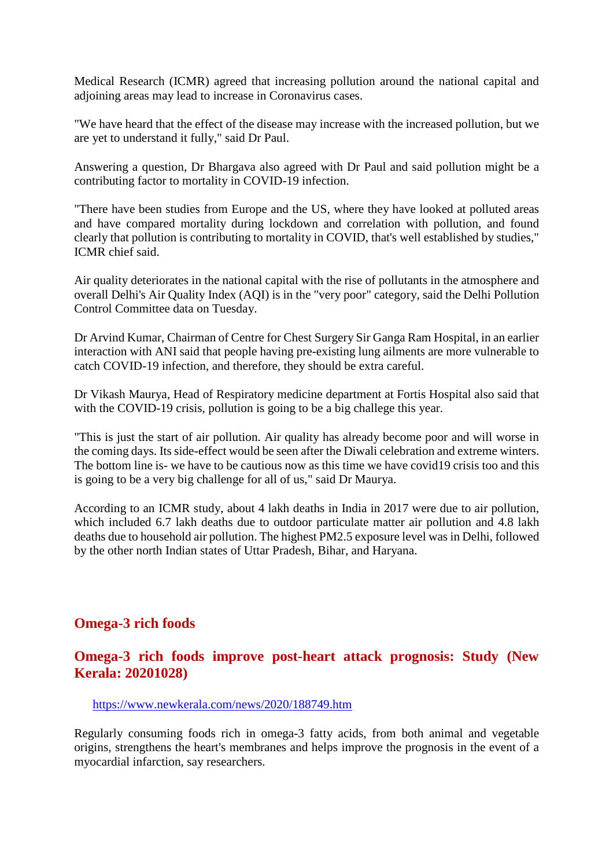Medical Research (ICMR) agreed that increasing pollution around the national capital and adjoining areas may lead to increase in Coronavirus cases.

"We have heard that the effect of the disease may increase with the increased pollution, but we are yet to understand it fully," said Dr Paul.

Answering a question, Dr Bhargava also agreed with Dr Paul and said pollution might be a contributing factor to mortality in COVID-19 infection.

"There have been studies from Europe and the US, where they have looked at polluted areas and have compared mortality during lockdown and correlation with pollution, and found clearly that pollution is contributing to mortality in COVID, that's well established by studies," ICMR chief said.

Air quality deteriorates in the national capital with the rise of pollutants in the atmosphere and overall Delhi's Air Quality Index (AQI) is in the "very poor" category, said the Delhi Pollution Control Committee data on Tuesday.

Dr Arvind Kumar, Chairman of Centre for Chest Surgery Sir Ganga Ram Hospital, in an earlier interaction with ANI said that people having pre-existing lung ailments are more vulnerable to catch COVID-19 infection, and therefore, they should be extra careful.

Dr Vikash Maurya, Head of Respiratory medicine department at Fortis Hospital also said that with the COVID-19 crisis, pollution is going to be a big challege this year.

"This is just the start of air pollution. Air quality has already become poor and will worse in the coming days. Its side-effect would be seen after the Diwali celebration and extreme winters. The bottom line is- we have to be cautious now as this time we have covid19 crisis too and this is going to be a very big challenge for all of us," said Dr Maurya.

According to an ICMR study, about 4 lakh deaths in India in 2017 were due to air pollution, which included 6.7 lakh deaths due to outdoor particulate matter air pollution and 4.8 lakh deaths due to household air pollution. The highest PM2.5 exposure level was in Delhi, followed by the other north Indian states of Uttar Pradesh, Bihar, and Haryana.

#### **Omega-3 rich foods**

#### **Omega-3 rich foods improve post-heart attack prognosis: Study (New Kerala: 20201028)**

https://www.newkerala.com/news/2020/188749.htm

Regularly consuming foods rich in omega-3 fatty acids, from both animal and vegetable origins, strengthens the heart's membranes and helps improve the prognosis in the event of a myocardial infarction, say researchers.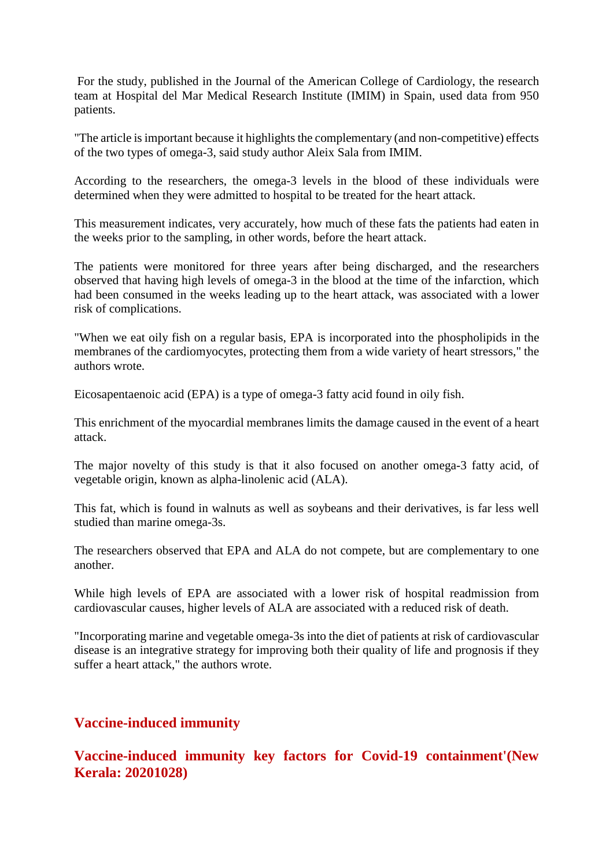For the study, published in the Journal of the American College of Cardiology, the research team at Hospital del Mar Medical Research Institute (IMIM) in Spain, used data from 950 patients.

"The article is important because it highlights the complementary (and non-competitive) effects of the two types of omega-3, said study author Aleix Sala from IMIM.

According to the researchers, the omega-3 levels in the blood of these individuals were determined when they were admitted to hospital to be treated for the heart attack.

This measurement indicates, very accurately, how much of these fats the patients had eaten in the weeks prior to the sampling, in other words, before the heart attack.

The patients were monitored for three years after being discharged, and the researchers observed that having high levels of omega-3 in the blood at the time of the infarction, which had been consumed in the weeks leading up to the heart attack, was associated with a lower risk of complications.

"When we eat oily fish on a regular basis, EPA is incorporated into the phospholipids in the membranes of the cardiomyocytes, protecting them from a wide variety of heart stressors," the authors wrote.

Eicosapentaenoic acid (EPA) is a type of omega-3 fatty acid found in oily fish.

This enrichment of the myocardial membranes limits the damage caused in the event of a heart attack.

The major novelty of this study is that it also focused on another omega-3 fatty acid, of vegetable origin, known as alpha-linolenic acid (ALA).

This fat, which is found in walnuts as well as soybeans and their derivatives, is far less well studied than marine omega-3s.

The researchers observed that EPA and ALA do not compete, but are complementary to one another.

While high levels of EPA are associated with a lower risk of hospital readmission from cardiovascular causes, higher levels of ALA are associated with a reduced risk of death.

"Incorporating marine and vegetable omega-3s into the diet of patients at risk of cardiovascular disease is an integrative strategy for improving both their quality of life and prognosis if they suffer a heart attack," the authors wrote.

#### **Vaccine-induced immunity**

**Vaccine-induced immunity key factors for Covid-19 containment'(New Kerala: 20201028)**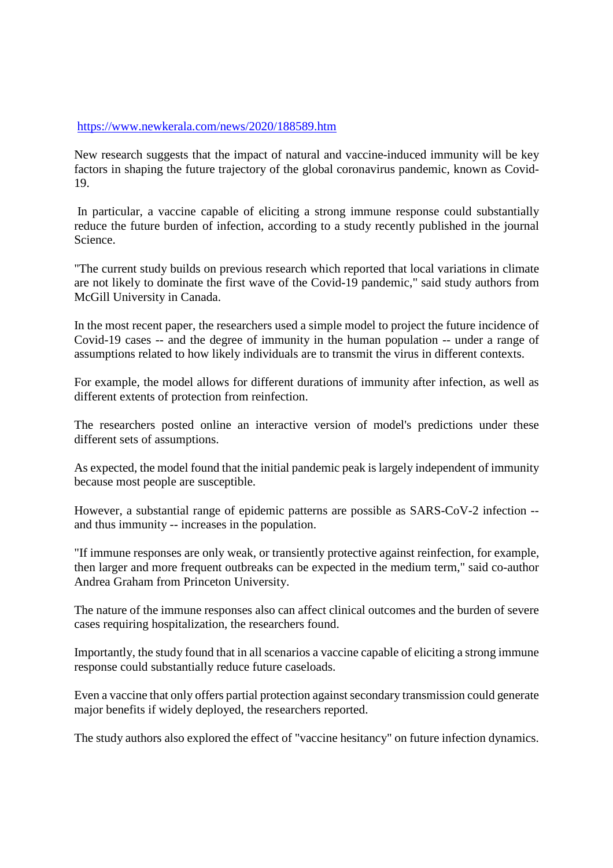#### https://www.newkerala.com/news/2020/188589.htm

New research suggests that the impact of natural and vaccine-induced immunity will be key factors in shaping the future trajectory of the global coronavirus pandemic, known as Covid-19.

In particular, a vaccine capable of eliciting a strong immune response could substantially reduce the future burden of infection, according to a study recently published in the journal Science.

"The current study builds on previous research which reported that local variations in climate are not likely to dominate the first wave of the Covid-19 pandemic," said study authors from McGill University in Canada.

In the most recent paper, the researchers used a simple model to project the future incidence of Covid-19 cases -- and the degree of immunity in the human population -- under a range of assumptions related to how likely individuals are to transmit the virus in different contexts.

For example, the model allows for different durations of immunity after infection, as well as different extents of protection from reinfection.

The researchers posted online an interactive version of model's predictions under these different sets of assumptions.

As expected, the model found that the initial pandemic peak is largely independent of immunity because most people are susceptible.

However, a substantial range of epidemic patterns are possible as SARS-CoV-2 infection - and thus immunity -- increases in the population.

"If immune responses are only weak, or transiently protective against reinfection, for example, then larger and more frequent outbreaks can be expected in the medium term," said co-author Andrea Graham from Princeton University.

The nature of the immune responses also can affect clinical outcomes and the burden of severe cases requiring hospitalization, the researchers found.

Importantly, the study found that in all scenarios a vaccine capable of eliciting a strong immune response could substantially reduce future caseloads.

Even a vaccine that only offers partial protection against secondary transmission could generate major benefits if widely deployed, the researchers reported.

The study authors also explored the effect of "vaccine hesitancy" on future infection dynamics.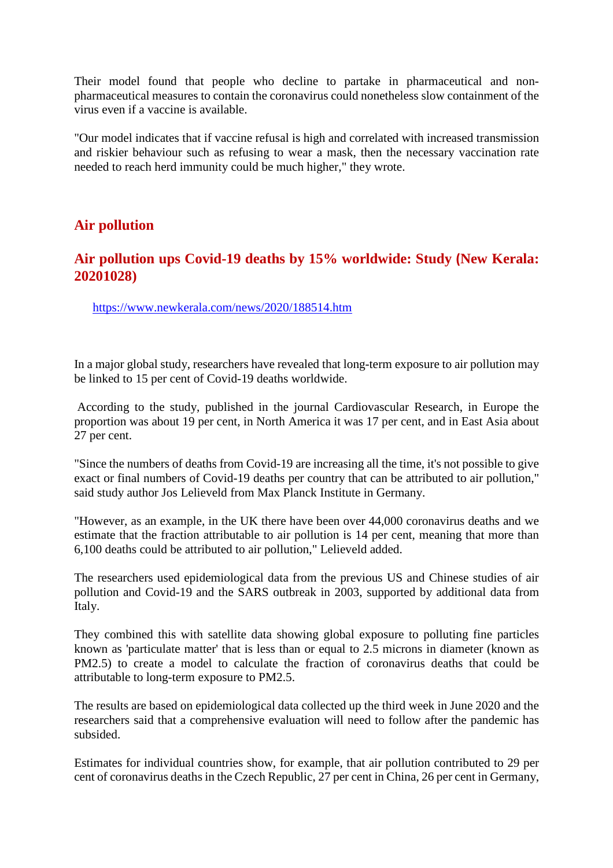Their model found that people who decline to partake in pharmaceutical and nonpharmaceutical measures to contain the coronavirus could nonetheless slow containment of the virus even if a vaccine is available.

"Our model indicates that if vaccine refusal is high and correlated with increased transmission and riskier behaviour such as refusing to wear a mask, then the necessary vaccination rate needed to reach herd immunity could be much higher," they wrote.

#### **Air pollution**

#### **Air pollution ups Covid-19 deaths by 15% worldwide: Study (New Kerala: 20201028)**

https://www.newkerala.com/news/2020/188514.htm

In a major global study, researchers have revealed that long-term exposure to air pollution may be linked to 15 per cent of Covid-19 deaths worldwide.

According to the study, published in the journal Cardiovascular Research, in Europe the proportion was about 19 per cent, in North America it was 17 per cent, and in East Asia about 27 per cent.

"Since the numbers of deaths from Covid-19 are increasing all the time, it's not possible to give exact or final numbers of Covid-19 deaths per country that can be attributed to air pollution," said study author Jos Lelieveld from Max Planck Institute in Germany.

"However, as an example, in the UK there have been over 44,000 coronavirus deaths and we estimate that the fraction attributable to air pollution is 14 per cent, meaning that more than 6,100 deaths could be attributed to air pollution," Lelieveld added.

The researchers used epidemiological data from the previous US and Chinese studies of air pollution and Covid-19 and the SARS outbreak in 2003, supported by additional data from Italy.

They combined this with satellite data showing global exposure to polluting fine particles known as 'particulate matter' that is less than or equal to 2.5 microns in diameter (known as PM2.5) to create a model to calculate the fraction of coronavirus deaths that could be attributable to long-term exposure to PM2.5.

The results are based on epidemiological data collected up the third week in June 2020 and the researchers said that a comprehensive evaluation will need to follow after the pandemic has subsided.

Estimates for individual countries show, for example, that air pollution contributed to 29 per cent of coronavirus deaths in the Czech Republic, 27 per cent in China, 26 per cent in Germany,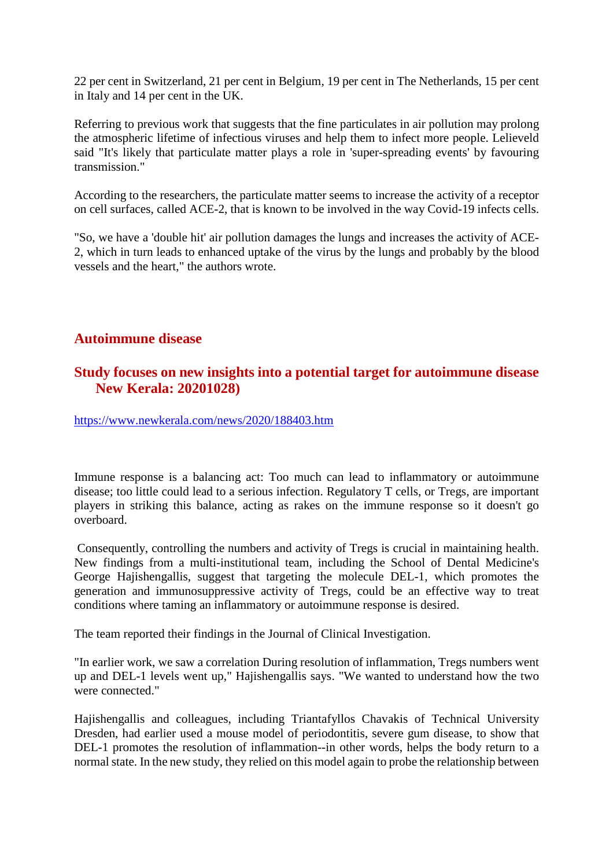22 per cent in Switzerland, 21 per cent in Belgium, 19 per cent in The Netherlands, 15 per cent in Italy and 14 per cent in the UK.

Referring to previous work that suggests that the fine particulates in air pollution may prolong the atmospheric lifetime of infectious viruses and help them to infect more people. Lelieveld said "It's likely that particulate matter plays a role in 'super-spreading events' by favouring transmission."

According to the researchers, the particulate matter seems to increase the activity of a receptor on cell surfaces, called ACE-2, that is known to be involved in the way Covid-19 infects cells.

"So, we have a 'double hit' air pollution damages the lungs and increases the activity of ACE-2, which in turn leads to enhanced uptake of the virus by the lungs and probably by the blood vessels and the heart," the authors wrote.

#### **Autoimmune disease**

#### **Study focuses on new insights into a potential target for autoimmune disease New Kerala: 20201028)**

https://www.newkerala.com/news/2020/188403.htm

Immune response is a balancing act: Too much can lead to inflammatory or autoimmune disease; too little could lead to a serious infection. Regulatory T cells, or Tregs, are important players in striking this balance, acting as rakes on the immune response so it doesn't go overboard.

Consequently, controlling the numbers and activity of Tregs is crucial in maintaining health. New findings from a multi-institutional team, including the School of Dental Medicine's George Hajishengallis, suggest that targeting the molecule DEL-1, which promotes the generation and immunosuppressive activity of Tregs, could be an effective way to treat conditions where taming an inflammatory or autoimmune response is desired.

The team reported their findings in the Journal of Clinical Investigation.

"In earlier work, we saw a correlation During resolution of inflammation, Tregs numbers went up and DEL-1 levels went up," Hajishengallis says. "We wanted to understand how the two were connected."

Hajishengallis and colleagues, including Triantafyllos Chavakis of Technical University Dresden, had earlier used a mouse model of periodontitis, severe gum disease, to show that DEL-1 promotes the resolution of inflammation--in other words, helps the body return to a normal state. In the new study, they relied on this model again to probe the relationship between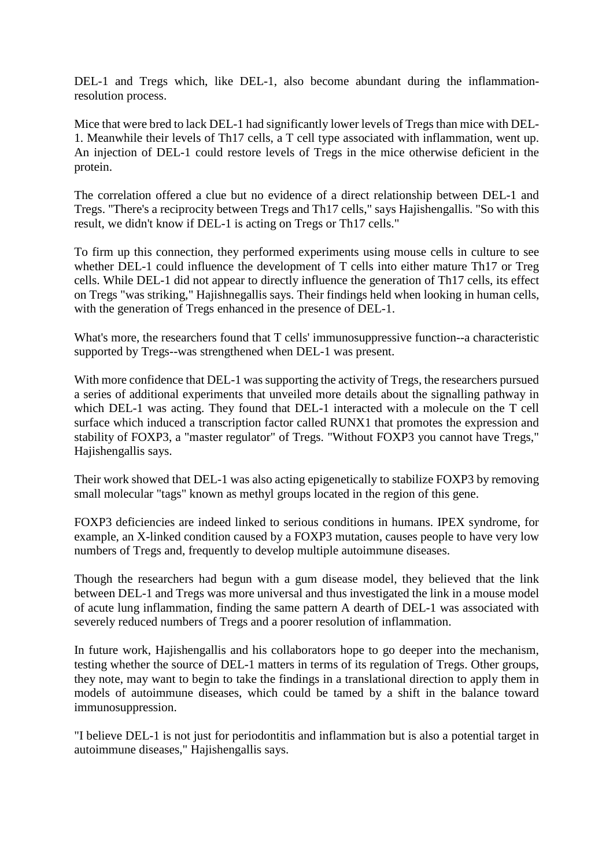DEL-1 and Tregs which, like DEL-1, also become abundant during the inflammationresolution process.

Mice that were bred to lack DEL-1 had significantly lower levels of Tregs than mice with DEL-1. Meanwhile their levels of Th17 cells, a T cell type associated with inflammation, went up. An injection of DEL-1 could restore levels of Tregs in the mice otherwise deficient in the protein.

The correlation offered a clue but no evidence of a direct relationship between DEL-1 and Tregs. "There's a reciprocity between Tregs and Th17 cells," says Hajishengallis. "So with this result, we didn't know if DEL-1 is acting on Tregs or Th17 cells."

To firm up this connection, they performed experiments using mouse cells in culture to see whether DEL-1 could influence the development of T cells into either mature Th17 or Treg cells. While DEL-1 did not appear to directly influence the generation of Th17 cells, its effect on Tregs "was striking," Hajishnegallis says. Their findings held when looking in human cells, with the generation of Tregs enhanced in the presence of DEL-1.

What's more, the researchers found that T cells' immunosuppressive function--a characteristic supported by Tregs--was strengthened when DEL-1 was present.

With more confidence that DEL-1 was supporting the activity of Tregs, the researchers pursued a series of additional experiments that unveiled more details about the signalling pathway in which DEL-1 was acting. They found that DEL-1 interacted with a molecule on the T cell surface which induced a transcription factor called RUNX1 that promotes the expression and stability of FOXP3, a "master regulator" of Tregs. "Without FOXP3 you cannot have Tregs," Hajishengallis says.

Their work showed that DEL-1 was also acting epigenetically to stabilize FOXP3 by removing small molecular "tags" known as methyl groups located in the region of this gene.

FOXP3 deficiencies are indeed linked to serious conditions in humans. IPEX syndrome, for example, an X-linked condition caused by a FOXP3 mutation, causes people to have very low numbers of Tregs and, frequently to develop multiple autoimmune diseases.

Though the researchers had begun with a gum disease model, they believed that the link between DEL-1 and Tregs was more universal and thus investigated the link in a mouse model of acute lung inflammation, finding the same pattern A dearth of DEL-1 was associated with severely reduced numbers of Tregs and a poorer resolution of inflammation.

In future work, Hajishengallis and his collaborators hope to go deeper into the mechanism, testing whether the source of DEL-1 matters in terms of its regulation of Tregs. Other groups, they note, may want to begin to take the findings in a translational direction to apply them in models of autoimmune diseases, which could be tamed by a shift in the balance toward immunosuppression.

"I believe DEL-1 is not just for periodontitis and inflammation but is also a potential target in autoimmune diseases," Hajishengallis says.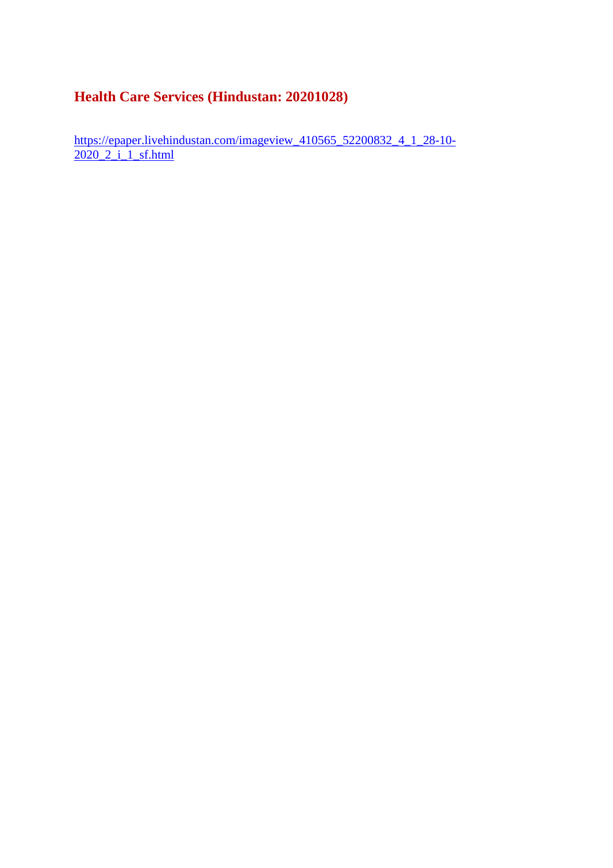#### **Health Care Services (Hindustan: 20201028)**

https://epaper.livehindustan.com/imageview\_410565\_52200832\_4\_1\_28-10-2020\_2\_i\_1\_sf.html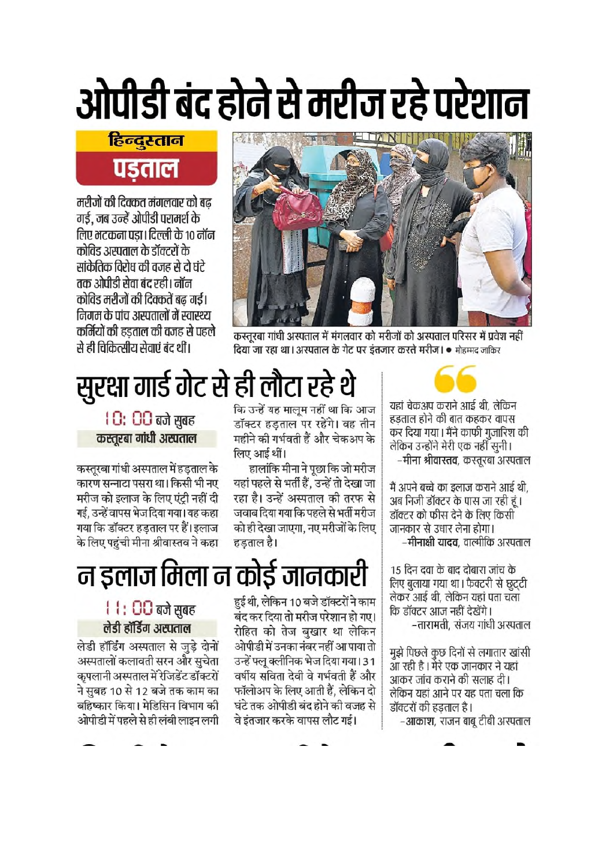# ओपीडी बंद होने से मरीज रहे परेशान

### हिन्दुस्तान पड़ताल

मरीजों की दिक्कत मंगलवार को बढ गई, जब उन्हें ओपीडी परामर्श के लिए मटकना पडा। दिल्ली के 10 नॉन कोविड अस्पताल के डॉक्टरों के सांकेतिक विरोध की वजह से दो घंटे तक ओपीडी सेवा बंद रही। नॉन कोविड मरीजों की दिक्कतें बढ गई। निगम के पांच अस्पतालों में स्वास्थ्य कर्मियों की हडताल की वजह से पहले से ही चिकित्सीय सेताएं बंद थीं।



कस्तुरबा गांधी अस्पताल में मंगलवार को मरीजों को अस्पताल परिसर में प्रवेश नहीं दिया जा रहा था। अस्पताल के गेट पर इंतजार करते मरीज। • मोहम्मद जाकिर



यहां चेकअप कराने आई थी. लेकिन हडताल होने की बात कहकर वापस कर दिया गया। मैंने काफी गुजारिश की लेकिन उन्होंने मेरी एक नहीं सुनी। –मीना श्रीवास्तव, कस्तुरबा अस्पताल

मैं अपने बच्चे का इलाज कराने आई थी. अब निजी डॉक्टर के पास जा रही हूं। डॉक्टर को फीस देने के लिए किसी जानकार से उधार लेना होगा। –मीनाक्षी यादव. वाल्मीकि अस्पताल

15 दिन दवा के बाद दोबारा जांच के लिए बुलाया गया था। फैक्टरी से छुटटी लेकर आई थी, लेकिन यहां पता चला कि डॉक्टर आज नहीं देखेंगे। –तारामती, संजय गांधी अस्पताल

मुझे पिछले कुछ दिनों से लगातार खांसी आ रही है । मेरे एक जानकार ने यहां आकर जांच कराने की सलाह दी। लेकिन यहां आने पर यह पता चला कि डॉक्टरों की हडताल है। –आकाश, राजन बाबू टीबी अस्पताल

सुरक्षा गार्ड गेट से ही लौटा रहे थे कि उन्हें यह मालम नहीं था कि आज डॉक्टर हडताल पर रहेंगे। वह तीन महीने की गर्भवती हैं और चेकअप के

> हालांकि मीना ने पूछा कि जो मरीज यहां पहले से भर्ती हैं. उन्हें तो देखा जा

> रहा है। उन्हें अस्पताल की तरफ से

जवाब दिया गया कि पहले से भर्ती मरीज

को ही देखा जाएगा, नए मरीजों के लिए

लिए आई थीं।

हडताल है।

10: 00 बजे सुबह कस्तूरबा गांधी अस्पताल

कस्तरबा गांधी अस्पताल में हडताल के कारण सन्नाटा पसरा था। किसी भी नए मरीज को इलाज के लिए एंट्री नहीं दी गई, उन्हें वापस भेज दिया गया। यह कहा गया कि डॉक्टर हडताल पर हैं। इलाज के लिए पहंची मीना श्रीवास्तव ने कहा

# न इलाज मिला न कोई जानकारी

हुई थी, लेकिन 10 बजे डॉक्टरों ने काम बंद कर दिया तो मरीज परेशान हो गए। रोहित को तेज बुखार था लेकिन ओपीडी में उनका नंबर नहीं आ पाया तो उन्हें फ्लू क्लीनिक भेज दिया गया। 31 वर्षीय सविता देवी वे गर्भवती हैं और फॉलोअप के लिए आती हैं, लेकिन दो घंटे तक ओपीडी बंद होने की वजह से वे इंतजार करके वापस लौट गई।

#### । । : 00 बजे सुबह लेडी हॉर्डिंग अस्पताल

लेडी हॉर्डिंग अस्पताल से जुड़े दोनों अस्पतालों कलावती सरन और सुचेता कृपलानी अस्पताल में रेजिडेंट डॉक्टरों ने सुबह 10 से 12 बजे तक काम का बहिष्कार किया। मेडिसिन विभाग की ओपीडी में पहले से ही लंबी लाइन लगी